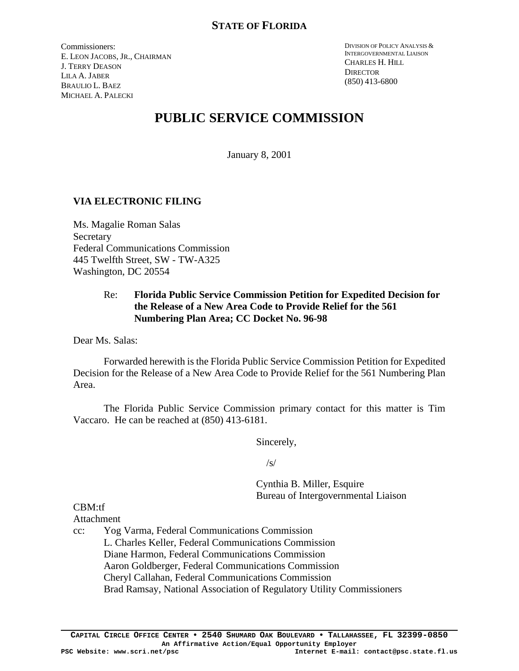Commissioners: E. LEON JACOBS, JR., CHAIRMAN J. TERRY DEASON LILA A. JABER BRAULIO L. BAEZ MICHAEL A. PALECKI

DIVISION OF POLICY ANALYSIS & INTERGOVERNMENTAL LIAISON CHARLES H. HILL **DIRECTOR** (850) 413-6800

# **PUBLIC SERVICE COMMISSION**

January 8, 2001

## **VIA ELECTRONIC FILING**

Ms. Magalie Roman Salas Secretary Federal Communications Commission 445 Twelfth Street, SW - TW-A325 Washington, DC 20554

## Re: **Florida Public Service Commission Petition for Expedited Decision for the Release of a New Area Code to Provide Relief for the 561 Numbering Plan Area; CC Docket No. 96-98**

Dear Ms. Salas:

Forwarded herewith is the Florida Public Service Commission Petition for Expedited Decision for the Release of a New Area Code to Provide Relief for the 561 Numbering Plan Area.

The Florida Public Service Commission primary contact for this matter is Tim Vaccaro. He can be reached at (850) 413-6181.

Sincerely,

 $\sqrt{s}$ 

Cynthia B. Miller, Esquire Bureau of Intergovernmental Liaison

CBM:tf

Attachment

cc: Yog Varma, Federal Communications Commission L. Charles Keller, Federal Communications Commission Diane Harmon, Federal Communications Commission Aaron Goldberger, Federal Communications Commission Cheryl Callahan, Federal Communications Commission Brad Ramsay, National Association of Regulatory Utility Commissioners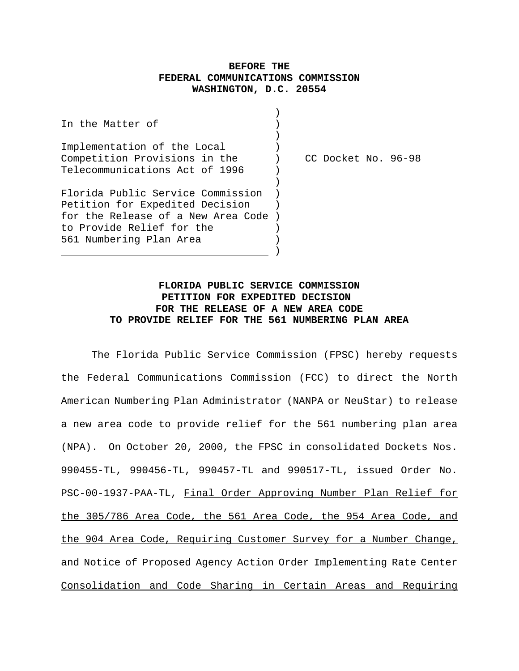#### **BEFORE THE FEDERAL COMMUNICATIONS COMMISSION WASHINGTON, D.C. 20554**

| In the Matter of                    |  |                     |  |
|-------------------------------------|--|---------------------|--|
|                                     |  |                     |  |
| Implementation of the Local         |  |                     |  |
| Competition Provisions in the       |  | CC Docket No. 96-98 |  |
| Telecommunications Act of 1996      |  |                     |  |
|                                     |  |                     |  |
| Florida Public Service Commission   |  |                     |  |
| Petition for Expedited Decision     |  |                     |  |
| for the Release of a New Area Code) |  |                     |  |
| to Provide Relief for the           |  |                     |  |
| 561 Numbering Plan Area             |  |                     |  |
|                                     |  |                     |  |

### **FLORIDA PUBLIC SERVICE COMMISSION PETITION FOR EXPEDITED DECISION FOR THE RELEASE OF A NEW AREA CODE TO PROVIDE RELIEF FOR THE 561 NUMBERING PLAN AREA**

The Florida Public Service Commission (FPSC) hereby requests the Federal Communications Commission (FCC) to direct the North American Numbering Plan Administrator (NANPA or NeuStar) to release a new area code to provide relief for the 561 numbering plan area (NPA). On October 20, 2000, the FPSC in consolidated Dockets Nos. 990455-TL, 990456-TL, 990457-TL and 990517-TL, issued Order No. PSC-00-1937-PAA-TL, Final Order Approving Number Plan Relief for the 305/786 Area Code, the 561 Area Code, the 954 Area Code, and the 904 Area Code, Requiring Customer Survey for a Number Change, and Notice of Proposed Agency Action Order Implementing Rate Center Consolidation and Code Sharing in Certain Areas and Requiring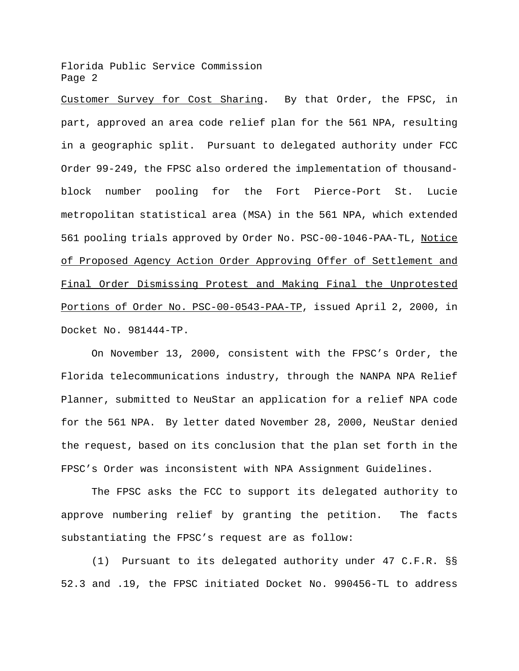Customer Survey for Cost Sharing. By that Order, the FPSC, in part, approved an area code relief plan for the 561 NPA, resulting in a geographic split. Pursuant to delegated authority under FCC Order 99-249, the FPSC also ordered the implementation of thousandblock number pooling for the Fort Pierce-Port St. Lucie metropolitan statistical area (MSA) in the 561 NPA, which extended 561 pooling trials approved by Order No. PSC-00-1046-PAA-TL, Notice of Proposed Agency Action Order Approving Offer of Settlement and Final Order Dismissing Protest and Making Final the Unprotested Portions of Order No. PSC-00-0543-PAA-TP, issued April 2, 2000, in Docket No. 981444-TP.

On November 13, 2000, consistent with the FPSC's Order, the Florida telecommunications industry, through the NANPA NPA Relief Planner, submitted to NeuStar an application for a relief NPA code for the 561 NPA. By letter dated November 28, 2000, NeuStar denied the request, based on its conclusion that the plan set forth in the FPSC's Order was inconsistent with NPA Assignment Guidelines.

The FPSC asks the FCC to support its delegated authority to approve numbering relief by granting the petition. The facts substantiating the FPSC's request are as follow:

(1) Pursuant to its delegated authority under 47 C.F.R. §§ 52.3 and .19, the FPSC initiated Docket No. 990456-TL to address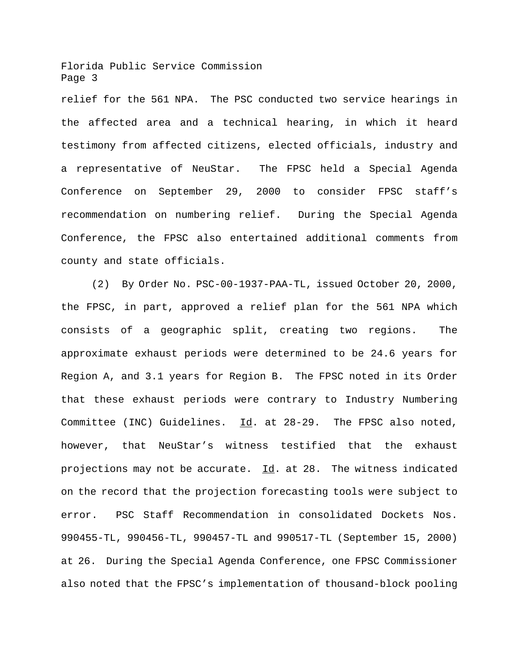relief for the 561 NPA. The PSC conducted two service hearings in the affected area and a technical hearing, in which it heard testimony from affected citizens, elected officials, industry and a representative of NeuStar. The FPSC held a Special Agenda Conference on September 29, 2000 to consider FPSC staff's recommendation on numbering relief. During the Special Agenda Conference, the FPSC also entertained additional comments from county and state officials.

(2) By Order No. PSC-00-1937-PAA-TL, issued October 20, 2000, the FPSC, in part, approved a relief plan for the 561 NPA which consists of a geographic split, creating two regions. The approximate exhaust periods were determined to be 24.6 years for Region A, and 3.1 years for Region B. The FPSC noted in its Order that these exhaust periods were contrary to Industry Numbering Committee (INC) Guidelines.  $\underline{Id}$ . at 28-29. The FPSC also noted, however, that NeuStar's witness testified that the exhaust projections may not be accurate. Id. at 28. The witness indicated on the record that the projection forecasting tools were subject to error. PSC Staff Recommendation in consolidated Dockets Nos. 990455-TL, 990456-TL, 990457-TL and 990517-TL (September 15, 2000) at 26. During the Special Agenda Conference, one FPSC Commissioner also noted that the FPSC's implementation of thousand-block pooling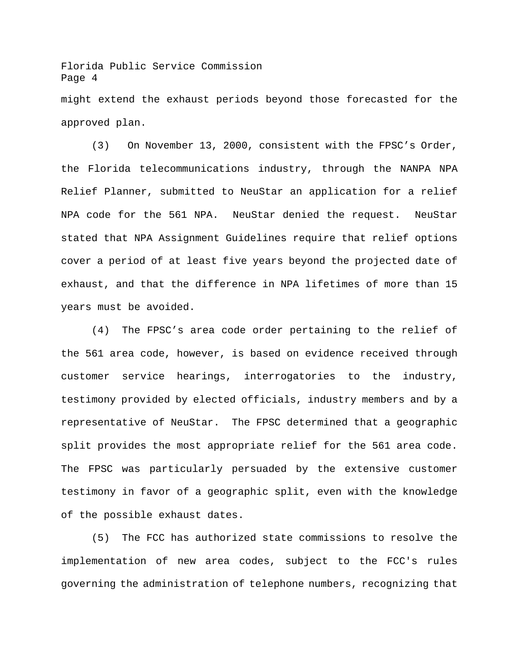might extend the exhaust periods beyond those forecasted for the approved plan.

(3) On November 13, 2000, consistent with the FPSC's Order, the Florida telecommunications industry, through the NANPA NPA Relief Planner, submitted to NeuStar an application for a relief NPA code for the 561 NPA. NeuStar denied the request. NeuStar stated that NPA Assignment Guidelines require that relief options cover a period of at least five years beyond the projected date of exhaust, and that the difference in NPA lifetimes of more than 15 years must be avoided.

(4) The FPSC's area code order pertaining to the relief of the 561 area code, however, is based on evidence received through customer service hearings, interrogatories to the industry, testimony provided by elected officials, industry members and by a representative of NeuStar. The FPSC determined that a geographic split provides the most appropriate relief for the 561 area code. The FPSC was particularly persuaded by the extensive customer testimony in favor of a geographic split, even with the knowledge of the possible exhaust dates.

(5) The FCC has authorized state commissions to resolve the implementation of new area codes, subject to the FCC's rules governing the administration of telephone numbers, recognizing that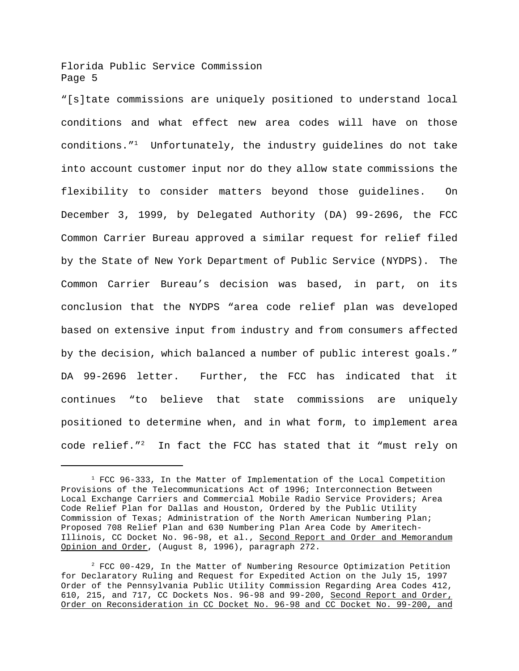"[s]tate commissions are uniquely positioned to understand local conditions and what effect new area codes will have on those conditions."<sup>1</sup> Unfortunately, the industry guidelines do not take into account customer input nor do they allow state commissions the flexibility to consider matters beyond those guidelines. On December 3, 1999, by Delegated Authority (DA) 99-2696, the FCC Common Carrier Bureau approved a similar request for relief filed by the State of New York Department of Public Service (NYDPS). The Common Carrier Bureau's decision was based, in part, on its conclusion that the NYDPS "area code relief plan was developed based on extensive input from industry and from consumers affected by the decision, which balanced a number of public interest goals." DA 99-2696 letter. Further, the FCC has indicated that it continues "to believe that state commissions are uniquely positioned to determine when, and in what form, to implement area code relief."<sup>2</sup> In fact the FCC has stated that it "must rely on

<sup>&</sup>lt;sup>1</sup> FCC 96-333, In the Matter of Implementation of the Local Competition Provisions of the Telecommunications Act of 1996; Interconnection Between Local Exchange Carriers and Commercial Mobile Radio Service Providers; Area Code Relief Plan for Dallas and Houston, Ordered by the Public Utility Commission of Texas; Administration of the North American Numbering Plan; Proposed 708 Relief Plan and 630 Numbering Plan Area Code by Ameritech-Illinois, CC Docket No. 96-98, et al., Second Report and Order and Memorandum Opinion and Order, (August 8, 1996), paragraph 272.

<sup>2</sup> FCC 00-429, In the Matter of Numbering Resource Optimization Petition for Declaratory Ruling and Request for Expedited Action on the July 15, 1997 Order of the Pennsylvania Public Utility Commission Regarding Area Codes 412, 610, 215, and 717, CC Dockets Nos. 96-98 and 99-200, Second Report and Order, Order on Reconsideration in CC Docket No. 96-98 and CC Docket No. 99-200, and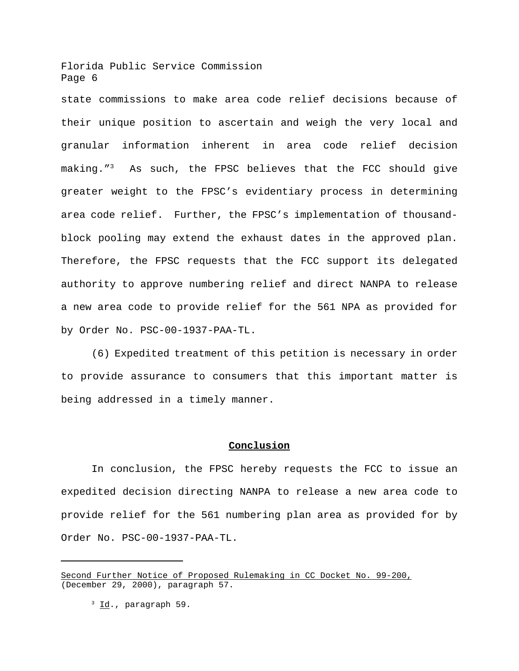state commissions to make area code relief decisions because of their unique position to ascertain and weigh the very local and granular information inherent in area code relief decision making."<sup>3</sup> As such, the FPSC believes that the FCC should give greater weight to the FPSC's evidentiary process in determining area code relief. Further, the FPSC's implementation of thousandblock pooling may extend the exhaust dates in the approved plan. Therefore, the FPSC requests that the FCC support its delegated authority to approve numbering relief and direct NANPA to release a new area code to provide relief for the 561 NPA as provided for by Order No. PSC-00-1937-PAA-TL.

(6) Expedited treatment of this petition is necessary in order to provide assurance to consumers that this important matter is being addressed in a timely manner.

#### **Conclusion**

In conclusion, the FPSC hereby requests the FCC to issue an expedited decision directing NANPA to release a new area code to provide relief for the 561 numbering plan area as provided for by Order No. PSC-00-1937-PAA-TL.

Second Further Notice of Proposed Rulemaking in CC Docket No. 99-200, (December 29, 2000), paragraph 57.

 $3$  Id., paragraph 59.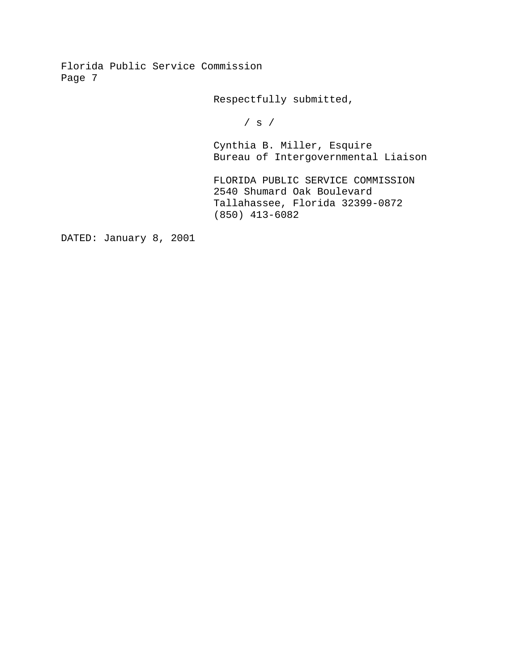Respectfully submitted,

/ s /

Cynthia B. Miller, Esquire Bureau of Intergovernmental Liaison

FLORIDA PUBLIC SERVICE COMMISSION 2540 Shumard Oak Boulevard Tallahassee, Florida 32399-0872 (850) 413-6082

DATED: January 8, 2001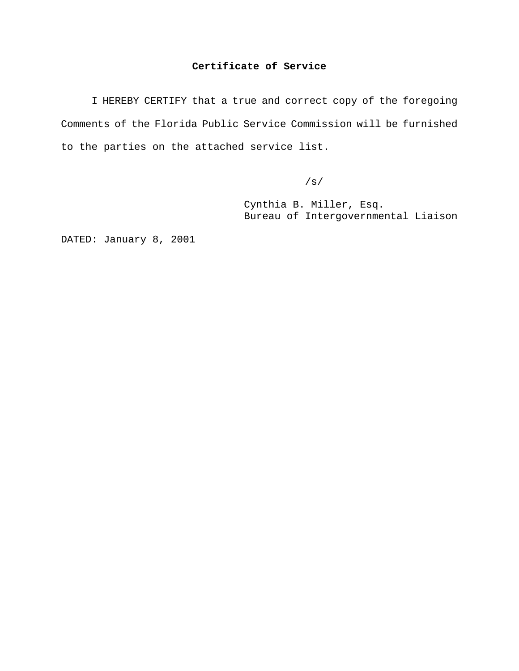### **Certificate of Service**

I HEREBY CERTIFY that a true and correct copy of the foregoing Comments of the Florida Public Service Commission will be furnished to the parties on the attached service list.

/s/

Cynthia B. Miller, Esq. Bureau of Intergovernmental Liaison

DATED: January 8, 2001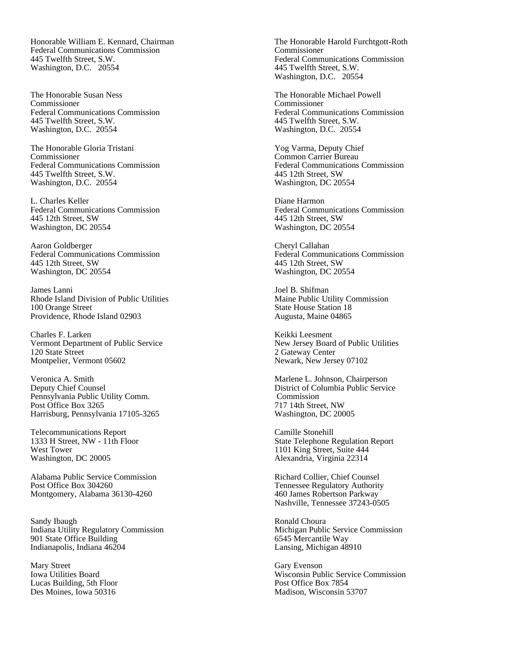Honorable William E. Kennard, Chairman Federal Communications Commission 445 Twelfth Street, S.W. Washington, D.C. 20554

The Honorable Susan Ness Commissioner Federal Communications Commission 445 Twelfth Street, S.W. Washington, D.C. 20554

The Honorable Gloria Tristani Commissioner Federal Communications Commission 445 Twelfth Street, S.W. Washington, D.C. 20554

L. Charles Keller Federal Communications Commission 445 12th Street, SW Washington, DC 20554

Aaron Goldberger Federal Communications Commission 445 12th Street, SW Washington, DC 20554

James Lanni Rhode Island Division of Public Utilities 100 Orange Street Providence, Rhode Island 02903

Charles F. Larken Vermont Department of Public Service 120 State Street Montpelier, Vermont 05602

Veronica A. Smith Deputy Chief Counsel Pennsylvania Public Utility Comm. Post Office Box 3265 Harrisburg, Pennsylvania 17105-3265

Telecommunications Report 1333 H Street, NW - 11th Floor West Tower Washington, DC 20005

Alabama Public Service Commission Post Office Box 304260 Montgomery, Alabama 36130-4260

Sandy Ibaugh Indiana Utility Regulatory Commission 901 State Office Building Indianapolis, Indiana 46204

Mary Street Iowa Utilities Board Lucas Building, 5th Floor Des Moines, Iowa 50316

The Honorable Harold Furchtgott-Roth Commissioner Federal Communications Commission 445 Twelfth Street, S.W. Washington, D.C. 20554

The Honorable Michael Powell Commissioner Federal Communications Commission 445 Twelfth Street, S.W. Washington, D.C. 20554

Yog Varma, Deputy Chief Common Carrier Bureau Federal Communications Commission 445 12th Street, SW Washington, DC 20554

Diane Harmon Federal Communications Commission 445 12th Street, SW Washington, DC 20554

Cheryl Callahan Federal Communications Commission 445 12th Street, SW Washington, DC 20554

Joel B. Shifman Maine Public Utility Commission State House Station 18 Augusta, Maine 04865

Keikki Leesment New Jersey Board of Public Utilities 2 Gateway Center Newark, New Jersey 07102

Marlene L. Johnson, Chairperson District of Columbia Public Service Commission 717 14th Street, NW Washington, DC 20005

Camille Stonehill State Telephone Regulation Report 1101 King Street, Suite 444 Alexandria, Virginia 22314

Richard Collier, Chief Counsel Tennessee Regulatory Authority 460 James Robertson Parkway Nashville, Tennessee 37243-0505

Ronald Choura Michigan Public Service Commission 6545 Mercantile Way Lansing, Michigan 48910

Gary Evenson Wisconsin Public Service Commission Post Office Box 7854 Madison, Wisconsin 53707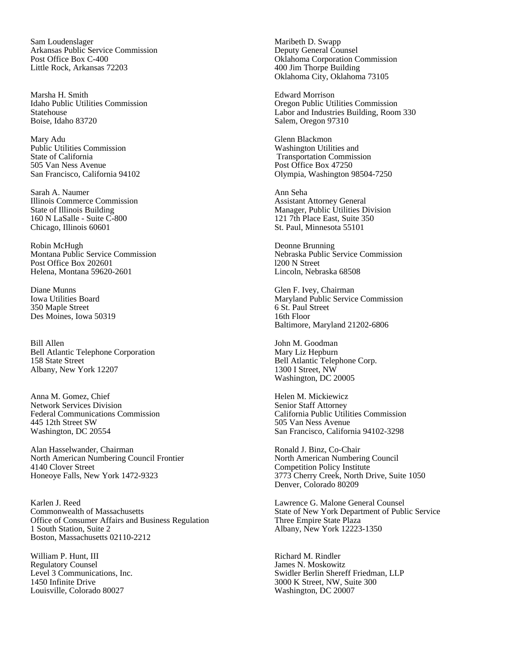Sam Loudenslager Arkansas Public Service Commission Post Office Box C-400 Little Rock, Arkansas 72203

Marsha H. Smith Idaho Public Utilities Commission Statehouse Boise, Idaho 83720

Mary Adu Public Utilities Commission State of California 505 Van Ness Avenue San Francisco, California 94102

Sarah A. Naumer Illinois Commerce Commission State of Illinois Building 160 N LaSalle - Suite C-800 Chicago, Illinois 60601

Robin McHugh Montana Public Service Commission Post Office Box 202601 Helena, Montana 59620-2601

Diane Munns Iowa Utilities Board 350 Maple Street Des Moines, Iowa 50319

Bill Allen Bell Atlantic Telephone Corporation 158 State Street Albany, New York 12207

Anna M. Gomez, Chief Network Services Division Federal Communications Commission 445 12th Street SW Washington, DC 20554

Alan Hasselwander, Chairman North American Numbering Council Frontier 4140 Clover Street Honeoye Falls, New York 1472-9323

Karlen J. Reed Commonwealth of Massachusetts Office of Consumer Affairs and Business Regulation 1 South Station, Suite 2 Boston, Massachusetts 02110-2212

William P. Hunt, III Regulatory Counsel Level 3 Communications, Inc. 1450 Infinite Drive Louisville, Colorado 80027

Maribeth D. Swapp Deputy General Counsel Oklahoma Corporation Commission 400 Jim Thorpe Building Oklahoma City, Oklahoma 73105

Edward Morrison Oregon Public Utilities Commission Labor and Industries Building, Room 330 Salem, Oregon 97310

Glenn Blackmon Washington Utilities and Transportation Commission Post Office Box 47250 Olympia, Washington 98504-7250

Ann Seha Assistant Attorney General Manager, Public Utilities Division 121 7th Place East, Suite 350 St. Paul, Minnesota 55101

Deonne Brunning Nebraska Public Service Commission l200 N Street Lincoln, Nebraska 68508

Glen F. Ivey, Chairman Maryland Public Service Commission 6 St. Paul Street 16th Floor Baltimore, Maryland 21202-6806

John M. Goodman Mary Liz Hepburn Bell Atlantic Telephone Corp. 1300 I Street, NW Washington, DC 20005

Helen M. Mickiewicz Senior Staff Attorney California Public Utilities Commission 505 Van Ness Avenue San Francisco, California 94102-3298

Ronald J. Binz, Co-Chair North American Numbering Council Competition Policy Institute 3773 Cherry Creek, North Drive, Suite 1050 Denver, Colorado 80209

Lawrence G. Malone General Counsel State of New York Department of Public Service Three Empire State Plaza Albany, New York 12223-1350

Richard M. Rindler James N. Moskowitz Swidler Berlin Shereff Friedman, LLP 3000 K Street, NW, Suite 300 Washington, DC 20007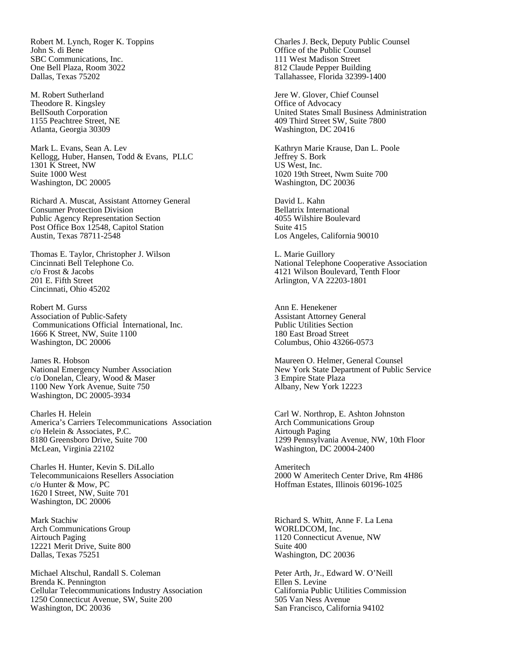Robert M. Lynch, Roger K. Toppins John S. di Bene SBC Communications, Inc. One Bell Plaza, Room 3022 Dallas, Texas 75202

M. Robert Sutherland Theodore R. Kingsley BellSouth Corporation 1155 Peachtree Street, NE Atlanta, Georgia 30309

Mark L. Evans, Sean A. Lev Kellogg, Huber, Hansen, Todd & Evans, PLLC 1301 K Street, NW Suite 1000 West Washington, DC 20005

Richard A. Muscat, Assistant Attorney General Consumer Protection Division Public Agency Representation Section Post Office Box 12548, Capitol Station Austin, Texas 78711-2548

Thomas E. Taylor, Christopher J. Wilson Cincinnati Bell Telephone Co. c/o Frost & Jacobs 201 E. Fifth Street Cincinnati, Ohio 45202

Robert M. Gurss Association of Public-Safety Communications Official International, Inc. 1666 K Street, NW, Suite 1100 Washington, DC 20006

James R. Hobson National Emergency Number Association c/o Donelan, Cleary, Wood & Maser 1100 New York Avenue, Suite 750 Washington, DC 20005-3934

Charles H. Helein America's Carriers Telecommunications Association c/o Helein & Associates, P.C. 8180 Greensboro Drive, Suite 700 McLean, Virginia 22102

Charles H. Hunter, Kevin S. DiLallo Telecommunicaions Resellers Association c/o Hunter & Mow, PC 1620 I Street, NW, Suite 701 Washington, DC 20006

Mark Stachiw Arch Communications Group Airtouch Paging 12221 Merit Drive, Suite 800 Dallas, Texas 75251

Michael Altschul, Randall S. Coleman Brenda K. Pennington Cellular Telecommunications Industry Association 1250 Connecticut Avenue, SW, Suite 200 Washington, DC 20036

Charles J. Beck, Deputy Public Counsel Office of the Public Counsel 111 West Madison Street 812 Claude Pepper Building Tallahassee, Florida 32399-1400

Jere W. Glover, Chief Counsel Office of Advocacy United States Small Business Administration 409 Third Street SW, Suite 7800 Washington, DC 20416

Kathryn Marie Krause, Dan L. Poole Jeffrey S. Bork US West, Inc. 1020 19th Street, Nwm Suite 700 Washington, DC 20036

David L. Kahn Bellatrix International 4055 Wilshire Boulevard Suite 415 Los Angeles, California 90010

L. Marie Guillory National Telephone Cooperative Association 4121 Wilson Boulevard, Tenth Floor Arlington, VA 22203-1801

Ann E. Henekener Assistant Attorney General Public Utilities Section 180 East Broad Street Columbus, Ohio 43266-0573

Maureen O. Helmer, General Counsel New York State Department of Public Service 3 Empire State Plaza Albany, New York 12223

Carl W. Northrop, E. Ashton Johnston Arch Communications Group Airtough Paging 1299 Pennsylvania Avenue, NW, 10th Floor Washington, DC 20004-2400

Ameritech 2000 W Ameritech Center Drive, Rm 4H86 Hoffman Estates, Illinois 60196-1025

Richard S. Whitt, Anne F. La Lena WORLDCOM, Inc. 1120 Connecticut Avenue, NW Suite 400 Washington, DC 20036

Peter Arth, Jr., Edward W. O'Neill Ellen S. Levine California Public Utilities Commission 505 Van Ness Avenue San Francisco, California 94102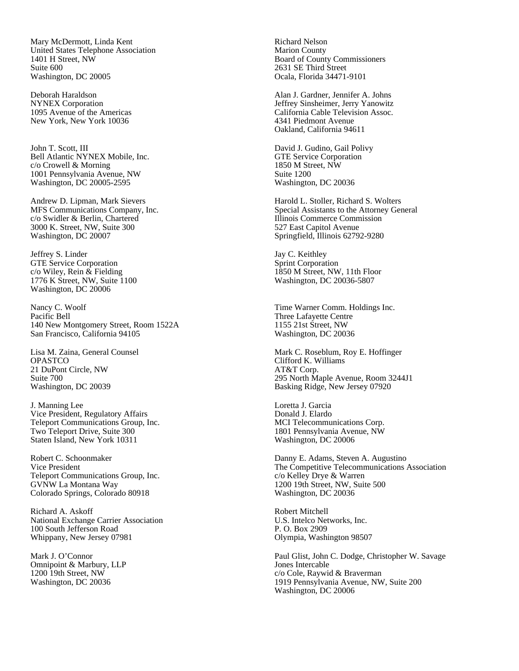Mary McDermott, Linda Kent United States Telephone Association 1401 H Street, NW Suite 600 Washington, DC 20005

Deborah Haraldson NYNEX Corporation 1095 Avenue of the Americas New York, New York 10036

John T. Scott, III Bell Atlantic NYNEX Mobile, Inc. c/o Crowell & Morning 1001 Pennsylvania Avenue, NW Washington, DC 20005-2595

Andrew D. Lipman, Mark Sievers MFS Communications Company, Inc. c/o Swidler & Berlin, Chartered 3000 K. Street, NW, Suite 300 Washington, DC 20007

Jeffrey S. Linder GTE Service Corporation c/o Wiley, Rein & Fielding 1776 K Street, NW, Suite 1100 Washington, DC 20006

Nancy C. Woolf Pacific Bell 140 New Montgomery Street, Room 1522A San Francisco, California 94105

Lisa M. Zaina, General Counsel OPASTCO 21 DuPont Circle, NW Suite 700 Washington, DC 20039

J. Manning Lee Vice President, Regulatory Affairs Teleport Communications Group, Inc. Two Teleport Drive, Suite 300 Staten Island, New York 10311

Robert C. Schoonmaker Vice President Teleport Communications Group, Inc. GVNW La Montana Way Colorado Springs, Colorado 80918

Richard A. Askoff National Exchange Carrier Association 100 South Jefferson Road Whippany, New Jersey 07981

Mark J. O'Connor Omnipoint & Marbury, LLP 1200 19th Street, NW Washington, DC 20036

Richard Nelson Marion County Board of County Commissioners 2631 SE Third Street Ocala, Florida 34471-9101

Alan J. Gardner, Jennifer A. Johns Jeffrey Sinsheimer, Jerry Yanowitz California Cable Television Assoc. 4341 Piedmont Avenue Oakland, California 94611

David J. Gudino, Gail Polivy GTE Service Corporation 1850 M Street, NW Suite 1200 Washington, DC 20036

Harold L. Stoller, Richard S. Wolters Special Assistants to the Attorney General Illinois Commerce Commission 527 East Capitol Avenue Springfield, Illinois 62792-9280

Jay C. Keithley Sprint Corporation 1850 M Street, NW, 11th Floor Washington, DC 20036-5807

Time Warner Comm. Holdings Inc. Three Lafayette Centre 1155 21st Street, NW Washington, DC 20036

Mark C. Roseblum, Roy E. Hoffinger Clifford K. Williams AT&T Corp. 295 North Maple Avenue, Room 3244J1 Basking Ridge, New Jersey 07920

Loretta J. Garcia Donald J. Elardo MCI Telecommunications Corp. 1801 Pennsylvania Avenue, NW Washington, DC 20006

Danny E. Adams, Steven A. Augustino The Competitive Telecommunications Association c/o Kelley Drye & Warren 1200 19th Street, NW, Suite 500 Washington, DC 20036

Robert Mitchell U.S. Intelco Networks, Inc. P. O. Box 2909 Olympia, Washington 98507

Paul Glist, John C. Dodge, Christopher W. Savage Jones Intercable c/o Cole, Raywid & Braverman 1919 Pennsylvania Avenue, NW, Suite 200 Washington, DC 20006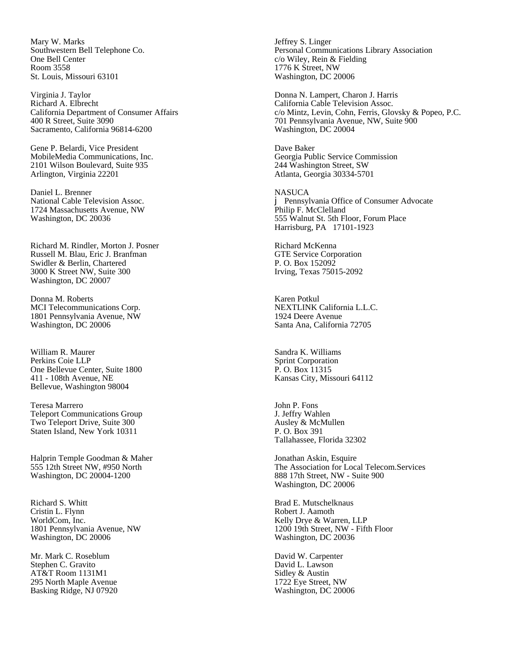Mary W. Marks Southwestern Bell Telephone Co. One Bell Center Room 3558 St. Louis, Missouri 63101

Virginia J. Taylor Richard A. Elbrecht California Department of Consumer Affairs 400 R Street, Suite 3090 Sacramento, California 96814-6200

Gene P. Belardi, Vice President MobileMedia Communications, Inc. 2101 Wilson Boulevard, Suite 935 Arlington, Virginia 22201

Daniel L. Brenner National Cable Television Assoc. 1724 Massachusetts Avenue, NW Washington, DC 20036

Richard M. Rindler, Morton J. Posner Russell M. Blau, Eric J. Branfman Swidler & Berlin, Chartered 3000 K Street NW, Suite 300 Washington, DC 20007

Donna M. Roberts MCI Telecommunications Corp. 1801 Pennsylvania Avenue, NW Washington, DC 20006

William R. Maurer Perkins Coie LLP One Bellevue Center, Suite 1800 411 - 108th Avenue, NE Bellevue, Washington 98004

Teresa Marrero Teleport Communications Group Two Teleport Drive, Suite 300 Staten Island, New York 10311

Halprin Temple Goodman & Maher 555 12th Street NW, #950 North Washington, DC 20004-1200

Richard S. Whitt Cristin L. Flynn WorldCom, Inc. 1801 Pennsylvania Avenue, NW Washington, DC 20006

Mr. Mark C. Roseblum Stephen C. Gravito AT&T Room 1131M1 295 North Maple Avenue Basking Ridge, NJ 07920

Jeffrey S. Linger Personal Communications Library Association c/o Wiley, Rein & Fielding 1776 K Street, NW Washington, DC 20006

Donna N. Lampert, Charon J. Harris California Cable Television Assoc. c/o Mintz, Levin, Cohn, Ferris, Glovsky & Popeo, P.C. 701 Pennsylvania Avenue, NW, Suite 900 Washington, DC 20004

Dave Baker Georgia Public Service Commission 244 Washington Street, SW Atlanta, Georgia 30334-5701

**NASUCA** j Pennsylvania Office of Consumer Advocate Philip F. McClelland 555 Walnut St. 5th Floor, Forum Place Harrisburg, PA 17101-1923

Richard McKenna GTE Service Corporation P. O. Box 152092 Irving, Texas 75015-2092

Karen Potkul NEXTLINK California L.L.C. 1924 Deere Avenue Santa Ana, California 72705

Sandra K. Williams Sprint Corporation P. O. Box 11315 Kansas City, Missouri 64112

John P. Fons J. Jeffry Wahlen Ausley & McMullen P. O. Box 391 Tallahassee, Florida 32302

Jonathan Askin, Esquire The Association for Local Telecom.Services 888 17th Street, NW - Suite 900 Washington, DC 20006

Brad E. Mutschelknaus Robert J. Aamoth Kelly Drye & Warren, LLP 1200 19th Street, NW - Fifth Floor Washington, DC 20036

David W. Carpenter David L. Lawson Sidley & Austin 1722 Eye Street, NW Washington, DC 20006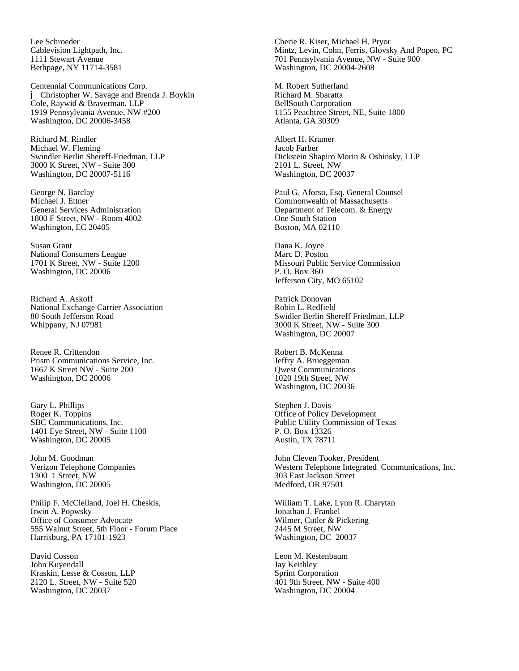Lee Schroeder Cablevision Lightpath, Inc. 1111 Stewart Avenue Bethpage, NY 11714-3581

Centennial Communications Corp. j Christopher W. Savage and Brenda J. Boykin Cole, Raywid & Braverman, LLP 1919 Pennsylvania Avenue, NW #200 Washington, DC 20006-3458

Richard M. Rindler Michael W. Fleming Swindler Berlin Shereff-Friedman, LLP 3000 K Street, NW - Suite 300 Washington, DC 20007-5116

George N. Barclay Michael J. Ettner General Services Administration 1800 F Street, NW - Room 4002 Washington, EC 20405

Susan Grant National Consumers League 1701 K Street, NW - Suite 1200 Washington, DC 20006

Richard A. Askoff National Exchange Carrier Association 80 South Jefferson Road Whippany, NJ 07981

Renee R. Crittendon Prism Communications Service, Inc. 1667 K Street NW - Suite 200 Washington, DC 20006

Gary L. Phillips Roger K. Toppins SBC Communications, Inc. 1401 Eye Street, NW - Suite 1100 Washington, DC 20005

John M. Goodman Verizon Telephone Companies 1300 1 Street, NW Washington, DC 20005

Philip F. McClelland, Joel H. Cheskis, Irwin A. Popwsky Office of Consumer Advocate 555 Walnut Street, 5th Floor - Forum Place Harrisburg, PA 17101-1923

David Cosson John Kuyendall Kraskin, Lesse & Cosson, LLP 2120 L. Street, NW - Suite 520 Washington, DC 20037

Cherie R. Kiser, Michael H. Pryor Mintz, Levin, Cohn, Ferris, Glovsky And Popeo, PC 701 Pennsylvania Avenue, NW - Suite 900 Washington, DC 20004-2608

M. Robert Sutherland Richard M. Sbaratta BellSouth Corporation 1155 Peachtree Street, NE, Suite 1800 Atlanta, GA 30309

Albert H. Kramer Jacob Farber Dickstein Shapiro Morin & Oshinsky, LLP 2101 L. Street, NW Washington, DC 20037

Paul G. Aforso, Esq. General Counsel Commonwealth of Massachusetts Department of Telecom. & Energy One South Station Boston, MA 02110

Dana K. Joyce Marc D. Poston Missouri Public Service Commission P. O. Box 360 Jefferson City, MO 65102

Patrick Donovan Robin L. Redfield Swidler Berlin Shereff Friedman, LLP 3000 K Street, NW - Suite 300 Washington, DC 20007

Robert B. McKenna Jeffry A. Brueggeman Qwest Communications 1020 19th Street, NW Washington, DC 20036

Stephen J. Davis Office of Policy Development Public Utility Commission of Texas P. O. Box 13326 Austin, TX 78711

John Cleven Tooker, President Western Telephone Integrated Communications, Inc. 303 East Jackson Street Medford, OR 97501

William T. Lake, Lynn R. Charytan Jonathan J. Frankel Wilmer, Cutler & Pickering 2445 M Street, NW Washington, DC 20037

Leon M. Kestenbaum Jay Keithley Sprint Corporation 401 9th Street, NW - Suite 400 Washington, DC 20004